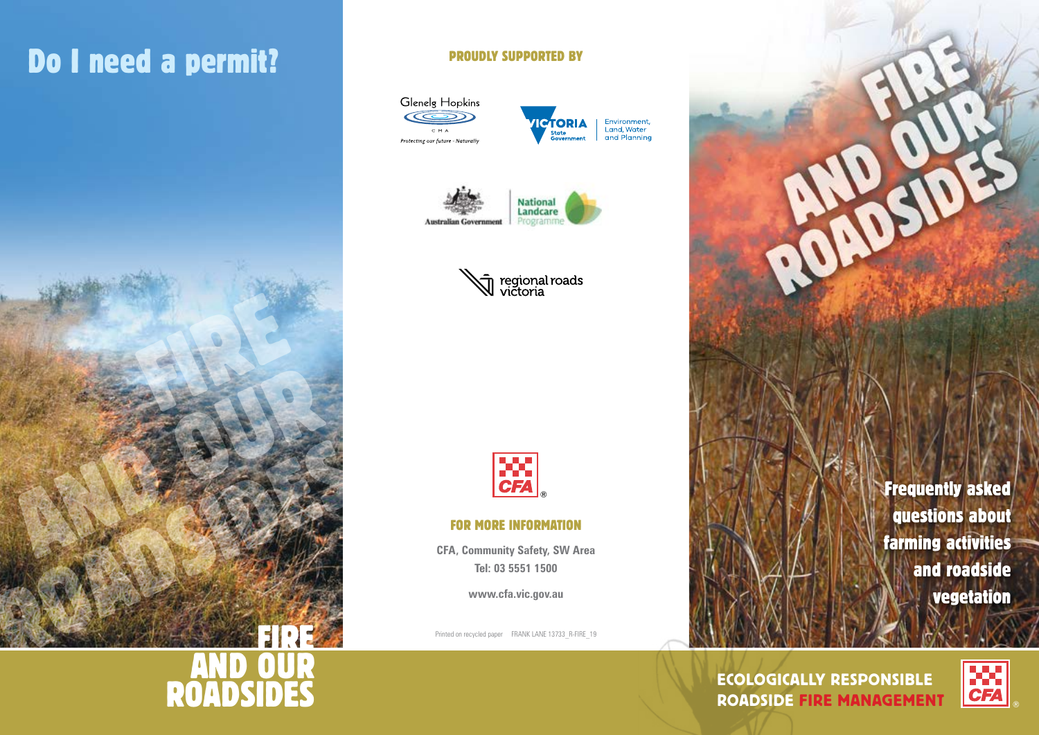## Do I need a permit?



# AND OUR

#### PROUDLY SUPPORTED BY



**ICTORIA** Environment,<br>Land, Water and Planning

**Australian Government** 







#### FOR MORE INFORMATION

**CFA, Community Safety, SW Area Tel: 03 5551 1500**

**www.cfa.vic.gov.au**

Printed on recycled paper FRANK LANE 13733\_R-FIRE\_19



ECOLOGICALLY RESPONSIBLE **ROADSIDES Experiment of the CFA SUCCESS EXPLORED EXPLORED TO A ROADSIDE FIRE MANAGEMENT** 

Robert